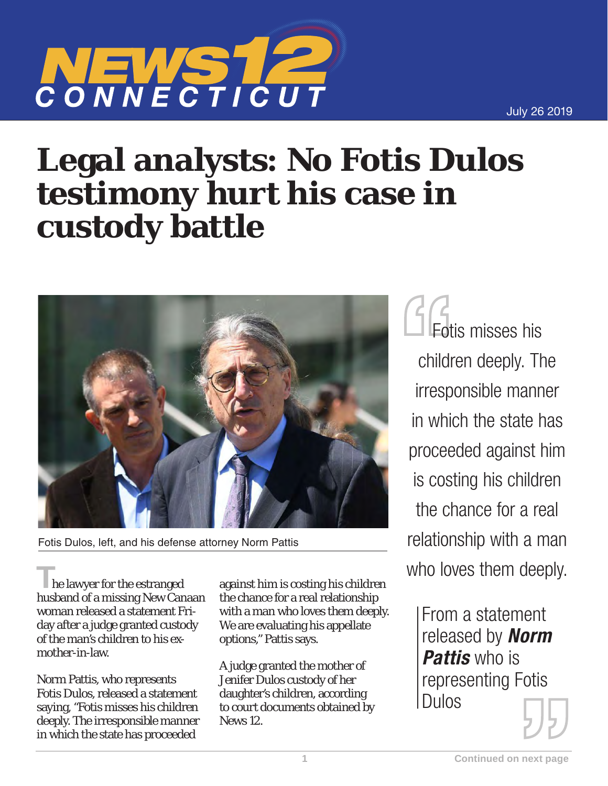

## **Legal analysts: No Fotis Dulos testimony hurt his case in custody battle**



Fotis Dulos, left, and his defense attorney Norm Pattis

**T**he lawyer for the estranged husband of a missing New Canaan woman released a statement Friday after a judge granted custody of the man's children to his exmother-in-law.

Norm Pattis, who represents Fotis Dulos, released a statement saying, "Fotis misses his children deeply. The irresponsible manner in which the state has proceeded

against him is costing his children the chance for a real relationship with a man who loves them deeply. We are evaluating his appellate options," Pattis says.

A judge granted the mother of Jenifer Dulos custody of her daughter's children, according to court documents obtained by News 12.

Fotis misses his children deeply. The irresponsible manner in which the state has proceeded against him is costing his children the chance for a real relationship with a man who loves them deeply.

> From a statement released by *Norm Pattis* who is representing Fotis Dulos